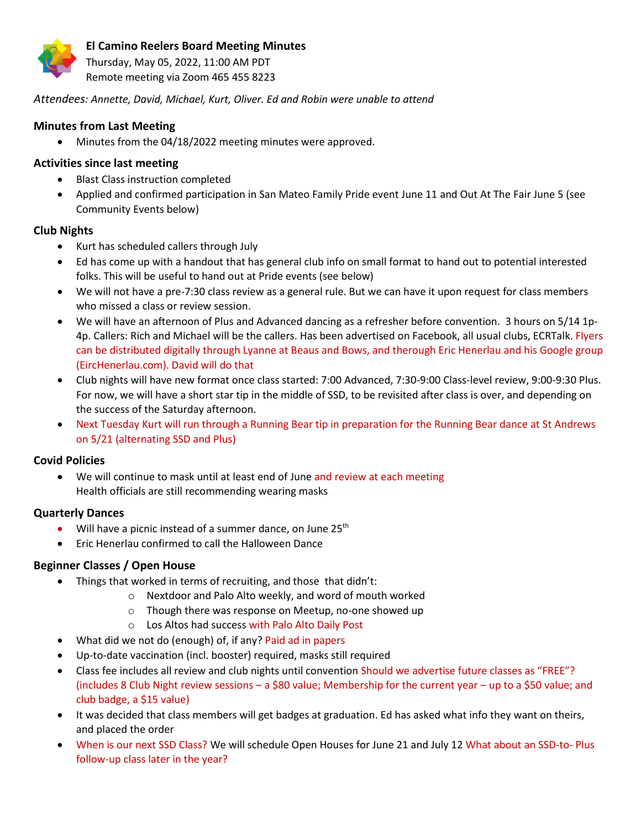

Thursday, May 05, 2022, 11:00 AM PDT Remote meeting via Zoom 465 455 8223

*Attendees: Annette, David, Michael, Kurt, Oliver. Ed and Robin were unable to attend*

# **Minutes from Last Meeting**

• Minutes from the 04/18/2022 meeting minutes were approved.

# **Activities since last meeting**

- Blast Class instruction completed
- Applied and confirmed participation in San Mateo Family Pride event June 11 and Out At The Fair June 5 (see Community Events below)

# **Club Nights**

- Kurt has scheduled callers through July
- Ed has come up with a handout that has general club info on small format to hand out to potential interested folks. This will be useful to hand out at Pride events (see below)
- We will not have a pre-7:30 class review as a general rule. But we can have it upon request for class members who missed a class or review session.
- We will have an afternoon of Plus and Advanced dancing as a refresher before convention. 3 hours on 5/14 1p-4p. Callers: Rich and Michael will be the callers. Has been advertised on Facebook, all usual clubs, ECRTalk. Flyers can be distributed digitally through Lyanne at Beaus and Bows, and therough Eric Henerlau and his Google group (EircHenerlau.com). David will do that
- Club nights will have new format once class started: 7:00 Advanced, 7:30-9:00 Class-level review, 9:00-9:30 Plus. For now, we will have a short star tip in the middle of SSD, to be revisited after class is over, and depending on the success of the Saturday afternoon.
- Next Tuesday Kurt will run through a Running Bear tip in preparation for the Running Bear dance at St Andrews on 5/21 (alternating SSD and Plus)

## **Covid Policies**

• We will continue to mask until at least end of June and review at each meeting Health officials are still recommending wearing masks

# **Quarterly Dances**

- Will have a picnic instead of a summer dance, on June  $25<sup>th</sup>$
- Eric Henerlau confirmed to call the Halloween Dance

# **Beginner Classes / Open House**

- Things that worked in terms of recruiting, and those that didn't:
	- o Nextdoor and Palo Alto weekly, and word of mouth worked
	- o Though there was response on Meetup, no-one showed up
	- o Los Altos had success with Palo Alto Daily Post
- What did we not do (enough) of, if any? Paid ad in papers
- Up-to-date vaccination (incl. booster) required, masks still required
- Class fee includes all review and club nights until convention Should we advertise future classes as "FREE"? (includes 8 Club Night review sessions – a \$80 value; Membership for the current year – up to a \$50 value; and club badge, a \$15 value)
- It was decided that class members will get badges at graduation. Ed has asked what info they want on theirs, and placed the order
- When is our next SSD Class? We will schedule Open Houses for June 21 and July 12 What about an SSD-to- Plus follow-up class later in the year?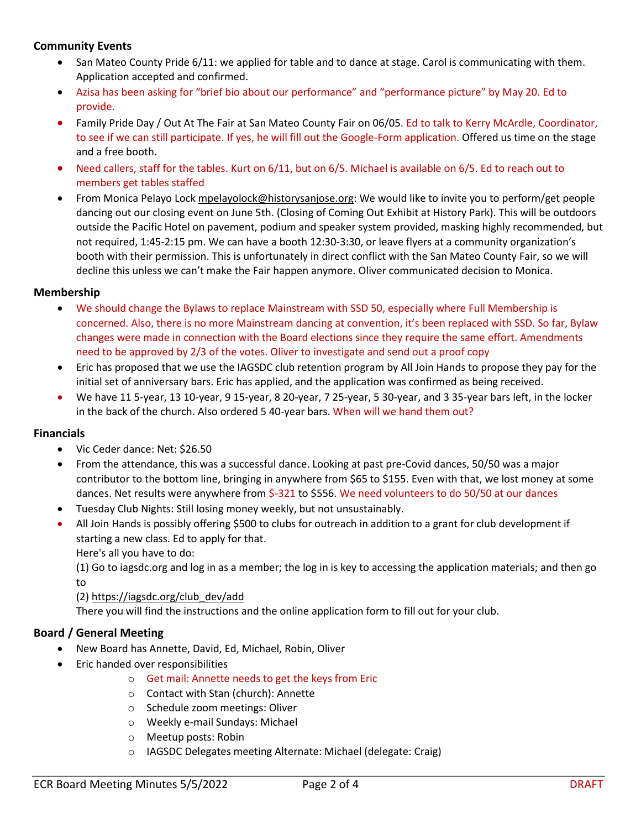# **Community Events**

- San Mateo County Pride 6/11: we applied for table and to dance at stage. Carol is communicating with them. Application accepted and confirmed.
- Azisa has been asking for "brief bio about our performance" and "performance picture" by May 20. Ed to provide.
- Family Pride Day / Out At The Fair at San Mateo County Fair on 06/05. Ed to talk to Kerry McArdle, Coordinator, to see if we can still participate. If yes, he will fill out the Google-Form application. Offered us time on the stage and a free booth.
- Need callers, staff for the tables. Kurt on 6/11, but on 6/5. Michael is available on 6/5. Ed to reach out to members get tables staffed
- From Monica Pelayo Loc[k mpelayolock@historysanjose.org:](mailto:mpelayolock@historysanjose.org) We would like to invite you to perform/get people dancing out our closing event on June 5th. (Closing of Coming Out Exhibit at History Park). This will be outdoors outside the Pacific Hotel on pavement, podium and speaker system provided, masking highly recommended, but not required, 1:45-2:15 pm. We can have a booth 12:30-3:30, or leave flyers at a community organization's booth with their permission. This is unfortunately in direct conflict with the San Mateo County Fair, so we will decline this unless we can't make the Fair happen anymore. Oliver communicated decision to Monica.

## **Membership**

- We should change the Bylaws to replace Mainstream with SSD 50, especially where Full Membership is concerned. Also, there is no more Mainstream dancing at convention, it's been replaced with SSD. So far, Bylaw changes were made in connection with the Board elections since they require the same effort. Amendments need to be approved by 2/3 of the votes. Oliver to investigate and send out a proof copy
- Eric has proposed that we use the IAGSDC club retention program by All Join Hands to propose they pay for the initial set of anniversary bars. Eric has applied, and the application was confirmed as being received.
- We have 11 5-year, 13 10-year, 9 15-year, 8 20-year, 7 25-year, 5 30-year, and 3 35-year bars left, in the locker in the back of the church. Also ordered 5 40-year bars. When will we hand them out?

### **Financials**

- Vic Ceder dance: Net: \$26.50
- From the attendance, this was a successful dance. Looking at past pre-Covid dances, 50/50 was a major contributor to the bottom line, bringing in anywhere from \$65 to \$155. Even with that, we lost money at some dances. Net results were anywhere from \$-321 to \$556. We need volunteers to do 50/50 at our dances
- Tuesday Club Nights: Still losing money weekly, but not unsustainably.
- All Join Hands is possibly offering \$500 to clubs for outreach in addition to a grant for club development if starting a new class. Ed to apply for that.

Here's all you have to do:

(1) Go to iagsdc.org and log in as a member; the log in is key to accessing the application materials; and then go to

### (2[\) https://iagsdc.org/club\\_dev/add](https://iagsdc.org/club_dev/add)

There you will find the instructions and the online application form to fill out for your club.

# **Board / General Meeting**

- New Board has Annette, David, Ed, Michael, Robin, Oliver
- Eric handed over responsibilities
	- o Get mail: Annette needs to get the keys from Eric
	- o Contact with Stan (church): Annette
	- o Schedule zoom meetings: Oliver
	- o Weekly e-mail Sundays: Michael
	- o Meetup posts: Robin
	- o IAGSDC Delegates meeting Alternate: Michael (delegate: Craig)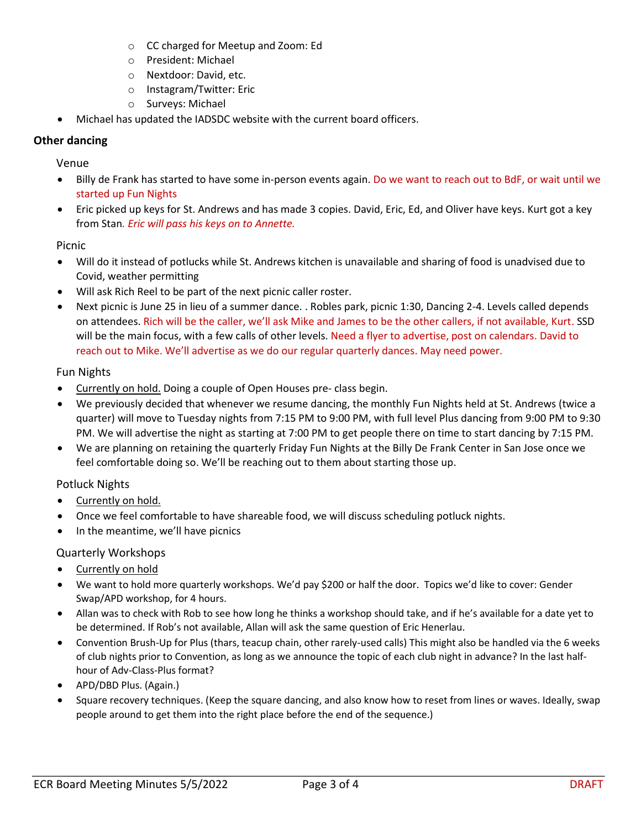- o CC charged for Meetup and Zoom: Ed
- o President: Michael
- o Nextdoor: David, etc.
- o Instagram/Twitter: Eric
- o Surveys: Michael
- Michael has updated the IADSDC website with the current board officers.

## **Other dancing**

## Venue

- Billy de Frank has started to have some in-person events again. Do we want to reach out to BdF, or wait until we started up Fun Nights
- Eric picked up keys for St. Andrews and has made 3 copies. David, Eric, Ed, and Oliver have keys. Kurt got a key from Stan*. Eric will pass his keys on to Annette.*

## Picnic

- Will do it instead of potlucks while St. Andrews kitchen is unavailable and sharing of food is unadvised due to Covid, weather permitting
- Will ask Rich Reel to be part of the next picnic caller roster.
- Next picnic is June 25 in lieu of a summer dance. . Robles park, picnic 1:30, Dancing 2-4. Levels called depends on attendees. Rich will be the caller, we'll ask Mike and James to be the other callers, if not available, Kurt. SSD will be the main focus, with a few calls of other levels. Need a flyer to advertise, post on calendars. David to reach out to Mike. We'll advertise as we do our regular quarterly dances. May need power.

### Fun Nights

- Currently on hold. Doing a couple of Open Houses pre- class begin.
- We previously decided that whenever we resume dancing, the monthly Fun Nights held at St. Andrews (twice a quarter) will move to Tuesday nights from 7:15 PM to 9:00 PM, with full level Plus dancing from 9:00 PM to 9:30 PM. We will advertise the night as starting at 7:00 PM to get people there on time to start dancing by 7:15 PM.
- We are planning on retaining the quarterly Friday Fun Nights at the Billy De Frank Center in San Jose once we feel comfortable doing so. We'll be reaching out to them about starting those up.

### Potluck Nights

- Currently on hold.
- Once we feel comfortable to have shareable food, we will discuss scheduling potluck nights.
- In the meantime, we'll have picnics

### Quarterly Workshops

- Currently on hold
- We want to hold more quarterly workshops. We'd pay \$200 or half the door. Topics we'd like to cover: Gender Swap/APD workshop, for 4 hours.
- Allan was to check with Rob to see how long he thinks a workshop should take, and if he's available for a date yet to be determined. If Rob's not available, Allan will ask the same question of Eric Henerlau.
- Convention Brush-Up for Plus (thars, teacup chain, other rarely-used calls) This might also be handled via the 6 weeks of club nights prior to Convention, as long as we announce the topic of each club night in advance? In the last halfhour of Adv-Class-Plus format?
- APD/DBD Plus. (Again.)
- Square recovery techniques. (Keep the square dancing, and also know how to reset from lines or waves. Ideally, swap people around to get them into the right place before the end of the sequence.)